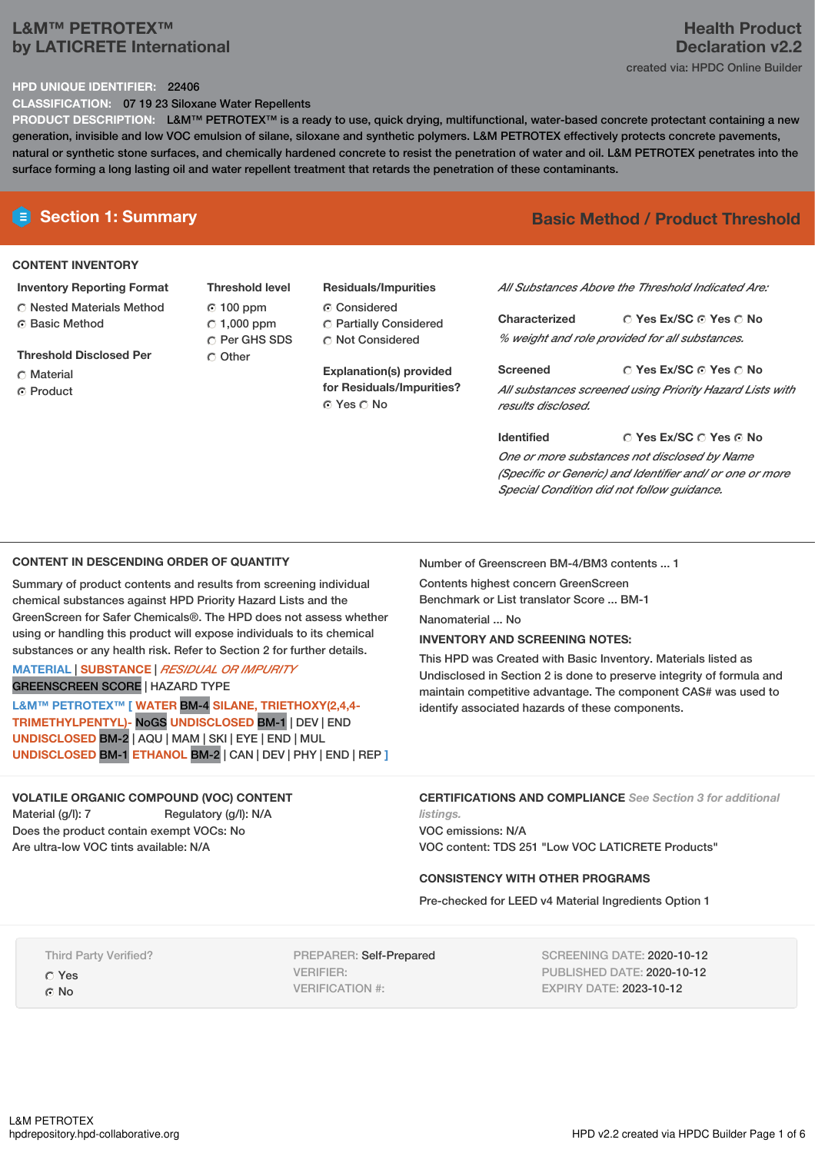# **L&M™ PETROTEX™ by LATICRETE International**

# **Health Product Declaration v2.2** created via: HPDC Online Builder

# **HPD UNIQUE IDENTIFIER:** 22406

**CLASSIFICATION:** 07 19 23 Siloxane Water Repellents

**PRODUCT DESCRIPTION:** L&M™ PETROTEX™ is a ready to use, quick drying, multifunctional, water-based concrete protectant containing a new generation, invisible and low VOC emulsion of silane, siloxane and synthetic polymers. L&M PETROTEX effectively protects concrete pavements, natural or synthetic stone surfaces, and chemically hardened concrete to resist the penetration of water and oil. L&M PETROTEX penetrates into the surface forming a long lasting oil and water repellent treatment that retards the penetration of these contaminants.

# **CONTENT INVENTORY**

**Inventory Reporting Format** Nested Materials Method **G** Basic Method

**Threshold Disclosed Per**

- Material
- ⊙ Product

**Threshold level** 100 ppm  $\degree$  1,000 ppm C Per GHS SDS C Other

**Residuals/Impurities** Considered Partially Considered Not Considered

**Explanation(s) provided for Residuals/Impurities?** © Yes ∩ No

# **E** Section 1: Summary **Basic** Method **/** Product Threshold

*All Substances Above the Threshold Indicated Are:*

**Yes Ex/SC Yes No Characterized** *% weight and role provided for all substances.*

**Yes Ex/SC Yes No Screened** *All substances screened using Priority Hazard Lists with results disclosed.*

**Yes Ex/SC Yes No Identified** *One or more substances not disclosed by Name (Specific or Generic) and Identifier and/ or one or more Special Condition did not follow guidance.*

# **CONTENT IN DESCENDING ORDER OF QUANTITY**

Summary of product contents and results from screening individual chemical substances against HPD Priority Hazard Lists and the GreenScreen for Safer Chemicals®. The HPD does not assess whether using or handling this product will expose individuals to its chemical substances or any health risk. Refer to Section 2 for further details.

# **MATERIAL** | **SUBSTANCE** | *RESIDUAL OR IMPURITY* GREENSCREEN SCORE | HAZARD TYPE

**L&M™ PETROTEX™ [ WATER** BM-4 **SILANE, TRIETHOXY(2,4,4- TRIMETHYLPENTYL)-** NoGS **UNDISCLOSED** BM-1 | DEV | END **UNDISCLOSED** BM-2 | AQU | MAM |SKI | EYE | END | MUL **UNDISCLOSED** BM-1 **ETHANOL** BM-2 | CAN | DEV | PHY | END | REP **]**

# **VOLATILE ORGANIC COMPOUND (VOC) CONTENT**

Material (g/l): 7 Regulatory (g/l): N/A Does the product contain exempt VOCs: No Are ultra-low VOC tints available: N/A

Number of Greenscreen BM-4/BM3 contents ... 1

Contents highest concern GreenScreen Benchmark or List translator Score ... BM-1

Nanomaterial ... No

# **INVENTORY AND SCREENING NOTES:**

This HPD was Created with Basic Inventory. Materials listed as Undisclosed in Section 2 is done to preserve integrity of formula and maintain competitive advantage. The component CAS# was used to identify associated hazards of these components.

**CERTIFICATIONS AND COMPLIANCE** *See Section 3 for additional listings.*

VOC emissions: N/A VOC content: TDS 251 "Low VOC LATICRETE Products"

# **CONSISTENCY WITH OTHER PROGRAMS**

Pre-checked for LEED v4 Material Ingredients Option 1

Third Party Verified?

Yes ⊙ No

PREPARER: Self-Prepared VERIFIER: VERIFICATION #:

SCREENING DATE: 2020-10-12 PUBLISHED DATE: 2020-10-12 EXPIRY DATE: 2023-10-12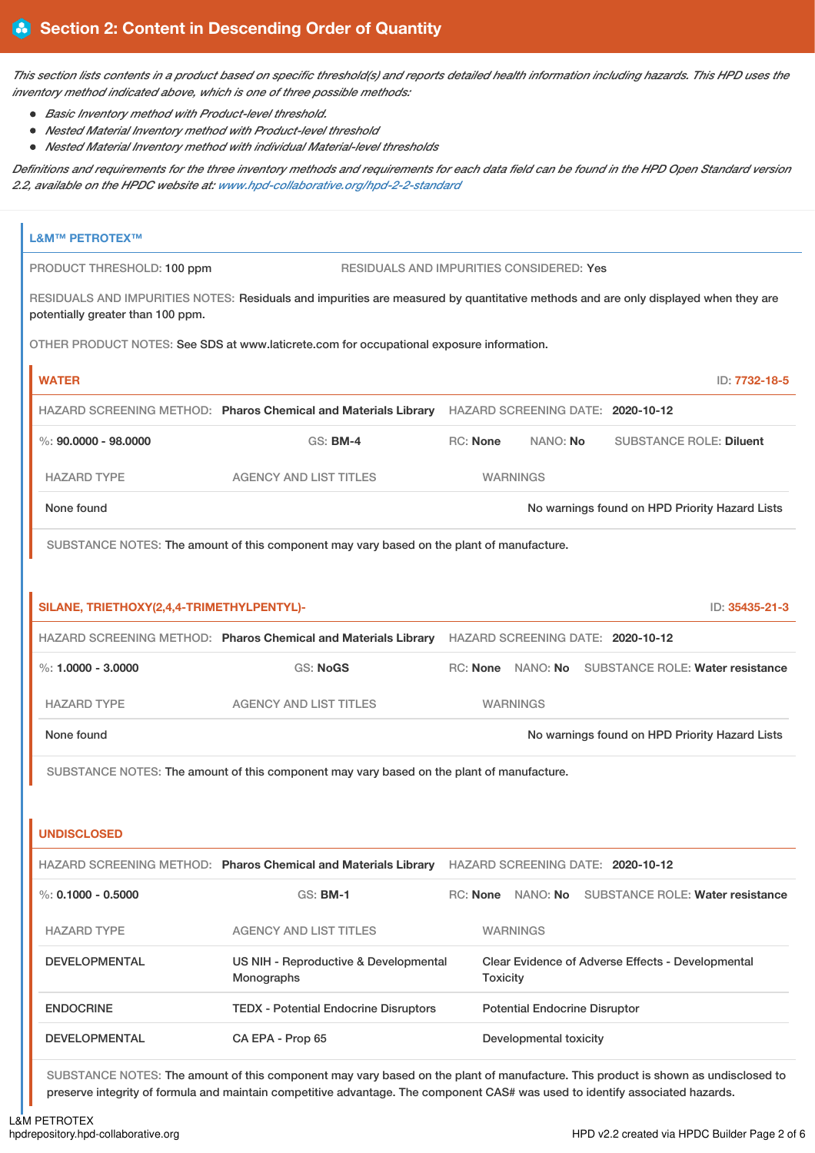This section lists contents in a product based on specific threshold(s) and reports detailed health information including hazards. This HPD uses the *inventory method indicated above, which is one of three possible methods:*

- *Basic Inventory method with Product-level threshold.*
- *Nested Material Inventory method with Product-level threshold*
- *Nested Material Inventory method with individual Material-level thresholds*

Definitions and requirements for the three inventory methods and requirements for each data field can be found in the HPD Open Standard version *2.2, available on the HPDC website at: [www.hpd-collaborative.org/hpd-2-2-standard](https://www.hpd-collaborative.org/hpd-2-2-standard)*

| <b>L&amp;M™ PETROTEX™</b>                 |                                                                                                                                    |          |                 |                                      |                                                    |                |
|-------------------------------------------|------------------------------------------------------------------------------------------------------------------------------------|----------|-----------------|--------------------------------------|----------------------------------------------------|----------------|
| PRODUCT THRESHOLD: 100 ppm                | RESIDUALS AND IMPURITIES CONSIDERED: Yes                                                                                           |          |                 |                                      |                                                    |                |
| potentially greater than 100 ppm.         | RESIDUALS AND IMPURITIES NOTES: Residuals and impurities are measured by quantitative methods and are only displayed when they are |          |                 |                                      |                                                    |                |
|                                           | OTHER PRODUCT NOTES: See SDS at www.laticrete.com for occupational exposure information.                                           |          |                 |                                      |                                                    |                |
| <b>WATER</b>                              |                                                                                                                                    |          |                 |                                      |                                                    | ID: 7732-18-5  |
|                                           | HAZARD SCREENING METHOD: Pharos Chemical and Materials Library HAZARD SCREENING DATE: 2020-10-12                                   |          |                 |                                      |                                                    |                |
| $\%: 90,0000 - 98,0000$                   | <b>GS: BM-4</b>                                                                                                                    | RC: None |                 | NANO: No                             | <b>SUBSTANCE ROLE: Diluent</b>                     |                |
| <b>HAZARD TYPE</b>                        | <b>AGENCY AND LIST TITLES</b>                                                                                                      |          |                 | <b>WARNINGS</b>                      |                                                    |                |
| None found                                |                                                                                                                                    |          |                 |                                      | No warnings found on HPD Priority Hazard Lists     |                |
|                                           | SUBSTANCE NOTES: The amount of this component may vary based on the plant of manufacture.                                          |          |                 |                                      |                                                    |                |
|                                           |                                                                                                                                    |          |                 |                                      |                                                    |                |
| SILANE, TRIETHOXY(2,4,4-TRIMETHYLPENTYL)- |                                                                                                                                    |          |                 |                                      |                                                    | ID: 35435-21-3 |
|                                           | HAZARD SCREENING METHOD: Pharos Chemical and Materials Library HAZARD SCREENING DATE: 2020-10-12                                   |          |                 |                                      |                                                    |                |
| %: $1,0000 - 3,0000$                      | <b>GS: NoGS</b>                                                                                                                    |          |                 |                                      | RC: None NANO: No SUBSTANCE ROLE: Water resistance |                |
| <b>HAZARD TYPE</b>                        | <b>AGENCY AND LIST TITLES</b>                                                                                                      |          |                 | <b>WARNINGS</b>                      |                                                    |                |
| None found                                |                                                                                                                                    |          |                 |                                      | No warnings found on HPD Priority Hazard Lists     |                |
|                                           | SUBSTANCE NOTES: The amount of this component may vary based on the plant of manufacture.                                          |          |                 |                                      |                                                    |                |
|                                           |                                                                                                                                    |          |                 |                                      |                                                    |                |
| <b>UNDISCLOSED</b>                        |                                                                                                                                    |          |                 |                                      |                                                    |                |
|                                           | HAZARD SCREENING METHOD: Pharos Chemical and Materials Library HAZARD SCREENING DATE: 2020-10-12                                   |          |                 |                                      |                                                    |                |
| %: $0.1000 - 0.5000$                      | $GS:$ BM-1                                                                                                                         |          |                 | RC: None NANO: No                    | <b>SUBSTANCE ROLE: Water resistance</b>            |                |
| <b>HAZARD TYPE</b>                        | <b>AGENCY AND LIST TITLES</b>                                                                                                      |          |                 | <b>WARNINGS</b>                      |                                                    |                |
| <b>DEVELOPMENTAL</b>                      | US NIH - Reproductive & Developmental<br>Monographs                                                                                |          | <b>Toxicity</b> |                                      | Clear Evidence of Adverse Effects - Developmental  |                |
| <b>ENDOCRINE</b>                          | <b>TEDX - Potential Endocrine Disruptors</b>                                                                                       |          |                 | <b>Potential Endocrine Disruptor</b> |                                                    |                |
| <b>DEVELOPMENTAL</b>                      | CA EPA - Prop 65                                                                                                                   |          |                 | Developmental toxicity               |                                                    |                |
|                                           | SUBSTANCE NOTES: The amount of this component may vary based on the plant of manufacture. This product is shown as undisclosed to  |          |                 |                                      |                                                    |                |

preserve integrity of formula and maintain competitive advantage. The component CAS# was used to identify associated hazards.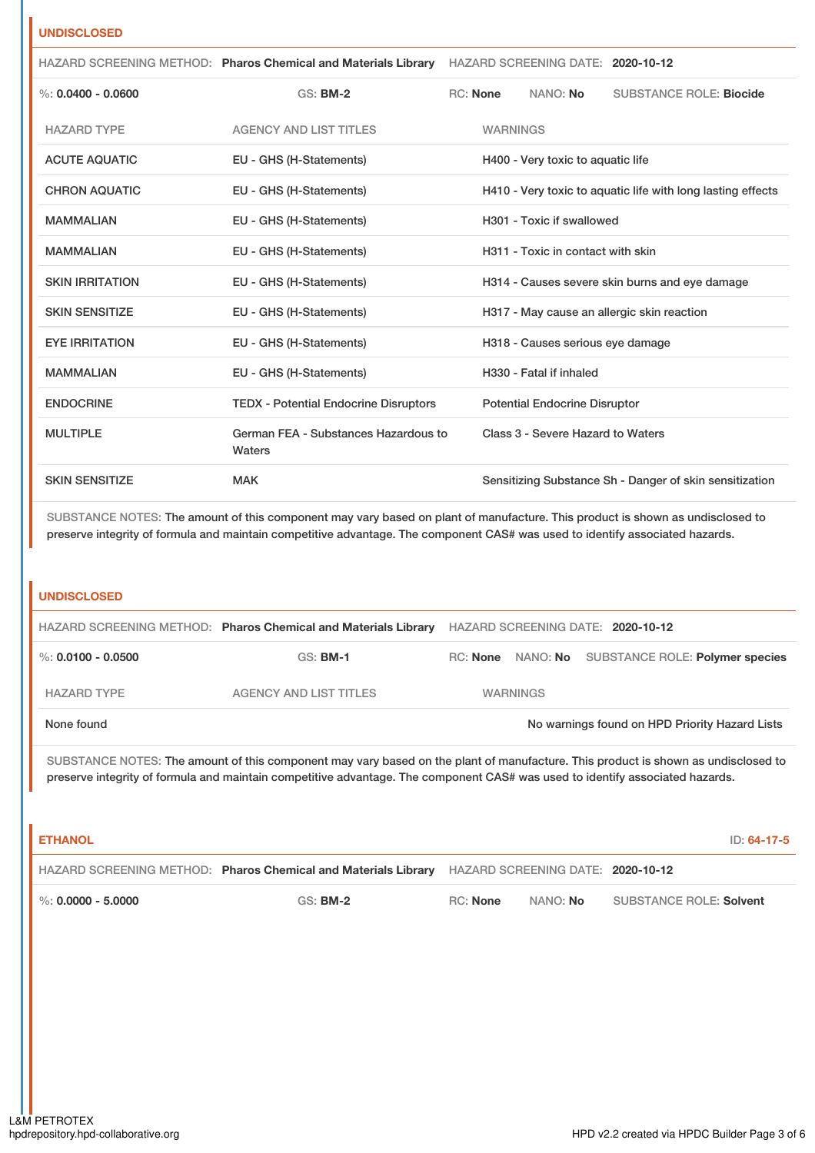# **UNDISCLOSED**

|                        | HAZARD SCREENING METHOD: Pharos Chemical and Materials Library |                 |                 | HAZARD SCREENING DATE: 2020-10-12     |                                                             |
|------------------------|----------------------------------------------------------------|-----------------|-----------------|---------------------------------------|-------------------------------------------------------------|
| %: $0.0400 - 0.0600$   | <b>GS: BM-2</b>                                                | <b>RC:</b> None |                 | NANO: No                              | <b>SUBSTANCE ROLE: Biocide</b>                              |
| <b>HAZARD TYPE</b>     | <b>AGENCY AND LIST TITLES</b>                                  |                 | <b>WARNINGS</b> |                                       |                                                             |
| <b>ACUTE AQUATIC</b>   | EU - GHS (H-Statements)                                        |                 |                 | H400 - Very toxic to aquatic life     |                                                             |
| <b>CHRON AQUATIC</b>   | EU - GHS (H-Statements)                                        |                 |                 |                                       | H410 - Very toxic to aquatic life with long lasting effects |
| <b>MAMMALIAN</b>       | EU - GHS (H-Statements)                                        |                 |                 | H <sub>301</sub> - Toxic if swallowed |                                                             |
| <b>MAMMALIAN</b>       | EU - GHS (H-Statements)                                        |                 |                 | H311 - Toxic in contact with skin     |                                                             |
| <b>SKIN IRRITATION</b> | EU - GHS (H-Statements)                                        |                 |                 |                                       | H314 - Causes severe skin burns and eye damage              |
| <b>SKIN SENSITIZE</b>  | EU - GHS (H-Statements)                                        |                 |                 |                                       | H317 - May cause an allergic skin reaction                  |
| <b>EYE IRRITATION</b>  | EU - GHS (H-Statements)                                        |                 |                 | H318 - Causes serious eye damage      |                                                             |
| <b>MAMMALIAN</b>       | EU - GHS (H-Statements)                                        |                 |                 | H330 - Fatal if inhaled               |                                                             |
| <b>ENDOCRINE</b>       | <b>TEDX - Potential Endocrine Disruptors</b>                   |                 |                 | <b>Potential Endocrine Disruptor</b>  |                                                             |
| <b>MULTIPLE</b>        | German FEA - Substances Hazardous to<br>Waters                 |                 |                 | Class 3 - Severe Hazard to Waters     |                                                             |
| <b>SKIN SENSITIZE</b>  | <b>MAK</b>                                                     |                 |                 |                                       | Sensitizing Substance Sh - Danger of skin sensitization     |

SUBSTANCE NOTES: The amount of this component may vary based on plant of manufacture. This product is shown as undisclosed to preserve integrity of formula and maintain competitive advantage. The component CAS# was used to identify associated hazards.

## **UNDISCLOSED**

|                        | HAZARD SCREENING METHOD: Pharos Chemical and Materials Library | HAZARD SCREENING DATE: 2020-10-12 |                 |                                                   |
|------------------------|----------------------------------------------------------------|-----------------------------------|-----------------|---------------------------------------------------|
| $\%$ : 0.0100 - 0.0500 | <b>GS: BM-1</b>                                                |                                   |                 | RC: None NANO: No SUBSTANCE ROLE: Polymer species |
| <b>HAZARD TYPE</b>     | AGENCY AND LIST TITLES                                         |                                   | <b>WARNINGS</b> |                                                   |
| None found             |                                                                |                                   |                 | No warnings found on HPD Priority Hazard Lists    |

SUBSTANCE NOTES: The amount of this component may vary based on the plant of manufacture. This product is shown as undisclosed to preserve integrity of formula and maintain competitive advantage. The component CAS# was used to identify associated hazards.

| <b>ETHANOL</b>       |                                                                                                  |          |          | ID: 64-17-5             |
|----------------------|--------------------------------------------------------------------------------------------------|----------|----------|-------------------------|
|                      | HAZARD SCREENING METHOD: Pharos Chemical and Materials Library HAZARD SCREENING DATE: 2020-10-12 |          |          |                         |
| %: $0.0000 - 5.0000$ | $GS:$ BM-2                                                                                       | RC: None | NANO: No | SUBSTANCE ROLE: Solvent |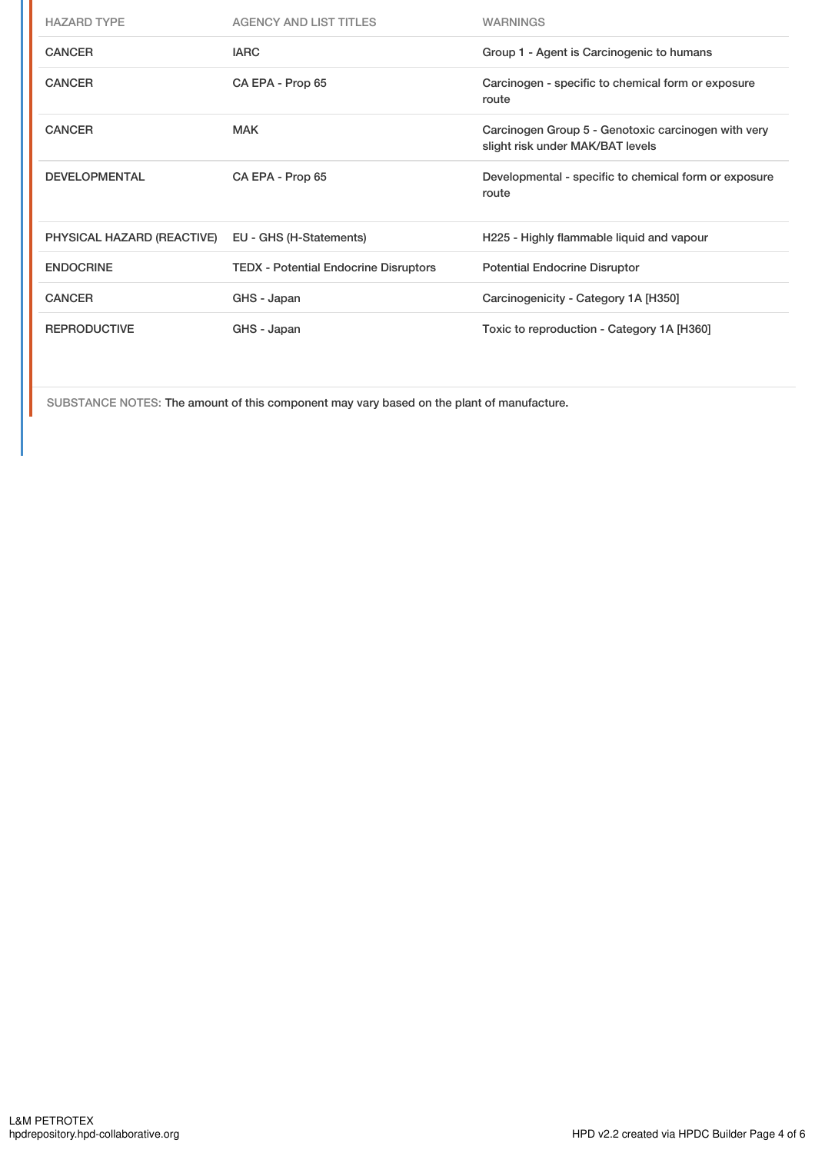| <b>HAZARD TYPE</b>         | <b>AGENCY AND LIST TITLES</b>                | <b>WARNINGS</b>                                                                         |
|----------------------------|----------------------------------------------|-----------------------------------------------------------------------------------------|
| <b>CANCER</b>              | <b>IARC</b>                                  | Group 1 - Agent is Carcinogenic to humans                                               |
| <b>CANCER</b>              | CA EPA - Prop 65                             | Carcinogen - specific to chemical form or exposure<br>route                             |
| <b>CANCER</b>              | <b>MAK</b>                                   | Carcinogen Group 5 - Genotoxic carcinogen with very<br>slight risk under MAK/BAT levels |
| <b>DEVELOPMENTAL</b>       | CA EPA - Prop 65                             | Developmental - specific to chemical form or exposure<br>route                          |
| PHYSICAL HAZARD (REACTIVE) | EU - GHS (H-Statements)                      | H225 - Highly flammable liquid and vapour                                               |
| <b>ENDOCRINE</b>           | <b>TEDX - Potential Endocrine Disruptors</b> | <b>Potential Endocrine Disruptor</b>                                                    |
| <b>CANCER</b>              | GHS - Japan                                  | Carcinogenicity - Category 1A [H350]                                                    |
| <b>REPRODUCTIVE</b>        | GHS - Japan                                  | Toxic to reproduction - Category 1A [H360]                                              |

SUBSTANCE NOTES: The amount of this component may vary based on the plant of manufacture.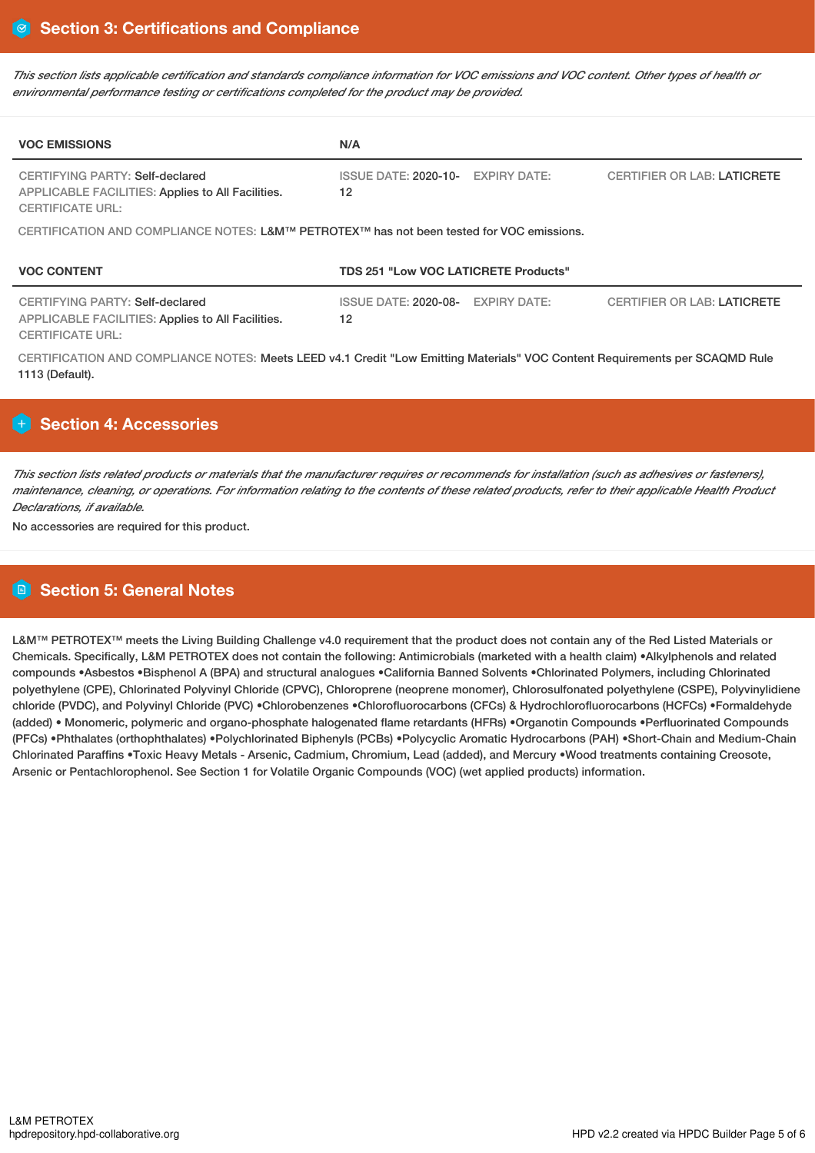This section lists applicable certification and standards compliance information for VOC emissions and VOC content. Other types of health or *environmental performance testing or certifications completed for the product may be provided.*

| <b>VOC EMISSIONS</b>                                                                                            | N/A                                         |                                    |  |  |  |  |  |
|-----------------------------------------------------------------------------------------------------------------|---------------------------------------------|------------------------------------|--|--|--|--|--|
| CERTIFYING PARTY: Self-declared<br>APPLICABLE FACILITIES: Applies to All Facilities.<br><b>CERTIFICATE URL:</b> | ISSUE DATE: 2020-10- EXPIRY DATE:<br>12     | <b>CERTIFIER OR LAB: LATICRETE</b> |  |  |  |  |  |
| CERTIFICATION AND COMPLIANCE NOTES: L&M™ PETROTEX™ has not been tested for VOC emissions.                       |                                             |                                    |  |  |  |  |  |
| <b>VOC CONTENT</b>                                                                                              | <b>TDS 251 "Low VOC LATICRETE Products"</b> |                                    |  |  |  |  |  |
| CERTIFYING PARTY: Self-declared<br>APPLICABLE FACILITIES: Applies to All Facilities.<br>CERTIFICATE URL:        | ISSUE DATE: 2020-08- EXPIRY DATE:<br>12     | <b>CERTIFIER OR LAB: LATICRETE</b> |  |  |  |  |  |

CERTIFICATION AND COMPLIANCE NOTES: Meets LEED v4.1 Credit "Low Emitting Materials" VOC Content Requirements per SCAQMD Rule 1113 (Default).

# **Section 4: Accessories**

This section lists related products or materials that the manufacturer requires or recommends for installation (such as adhesives or fasteners), maintenance, cleaning, or operations. For information relating to the contents of these related products, refer to their applicable Health Product *Declarations, if available.*

No accessories are required for this product.

# **Section 5: General Notes**

L&M™ PETROTEX™ meets the Living Building Challenge v4.0 requirement that the product does not contain any of the Red Listed Materials or Chemicals. Specifically, L&M PETROTEX does not contain the following: Antimicrobials (marketed with a health claim) •Alkylphenols and related compounds •Asbestos •Bisphenol A (BPA) and structural analogues •California Banned Solvents •Chlorinated Polymers, including Chlorinated polyethylene (CPE), Chlorinated Polyvinyl Chloride (CPVC), Chloroprene (neoprene monomer), Chlorosulfonated polyethylene (CSPE), Polyvinylidiene chloride (PVDC), and Polyvinyl Chloride (PVC) •Chlorobenzenes •Chlorofluorocarbons (CFCs) & Hydrochlorofluorocarbons (HCFCs) •Formaldehyde (added) • Monomeric, polymeric and organo-phosphate halogenated flame retardants (HFRs) •Organotin Compounds •Perfluorinated Compounds (PFCs) •Phthalates (orthophthalates) •Polychlorinated Biphenyls (PCBs) •Polycyclic Aromatic Hydrocarbons (PAH) •Short-Chain and Medium-Chain Chlorinated Paraffins •Toxic Heavy Metals - Arsenic, Cadmium, Chromium, Lead (added), and Mercury •Wood treatments containing Creosote, Arsenic or Pentachlorophenol. See Section 1 for Volatile Organic Compounds (VOC) (wet applied products) information.